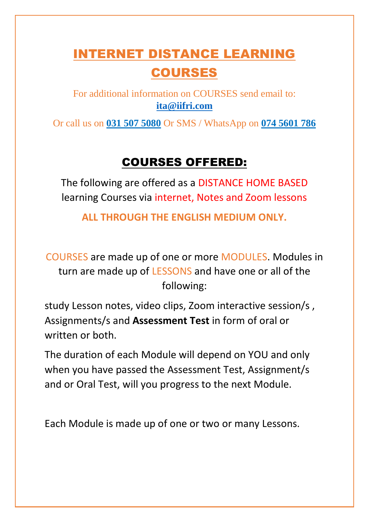# INTERNET DISTANCE LEARNING COURSES

For additional information on COURSES send email to: **[ita@iifri.com](mailto:ita@iifri.com)**

Or call us on **031 507 5080** Or SMS / WhatsApp on **074 5601 786**

## COURSES OFFERED:

The following are offered as a DISTANCE HOME BASED learning Courses via internet, Notes and Zoom lessons

**ALL THROUGH THE ENGLISH MEDIUM ONLY.**

COURSES are made up of one or more MODULES. Modules in turn are made up of LESSONS and have one or all of the following:

study Lesson notes, video clips, Zoom interactive session/s , Assignments/s and **Assessment Test** in form of oral or written or both.

The duration of each Module will depend on YOU and only when you have passed the Assessment Test, Assignment/s and or Oral Test, will you progress to the next Module.

Each Module is made up of one or two or many Lessons.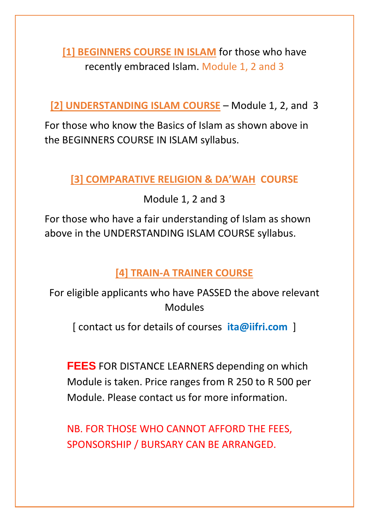**[1] BEGINNERS COURSE IN ISLAM** for those who have recently embraced Islam. Module 1, 2 and 3

**[2] UNDERSTANDING ISLAM COURSE** – Module 1, 2, and 3

For those who know the Basics of Islam as shown above in the BEGINNERS COURSE IN ISLAM syllabus.

## **[3] COMPARATIVE RELIGION & DA'WAH COURSE**

Module 1, 2 and 3

For those who have a fair understanding of Islam as shown above in the UNDERSTANDING ISLAM COURSE syllabus.

## **[4] TRAIN-A TRAINER COURSE**

For eligible applicants who have PASSED the above relevant Modules

[ contact us for details of courses **ita@iifri.com** ]

**FEES** FOR DISTANCE LEARNERS depending on which Module is taken. Price ranges from R 250 to R 500 per Module. Please contact us for more information.

NB. FOR THOSE WHO CANNOT AFFORD THE FEES, SPONSORSHIP / BURSARY CAN BE ARRANGED.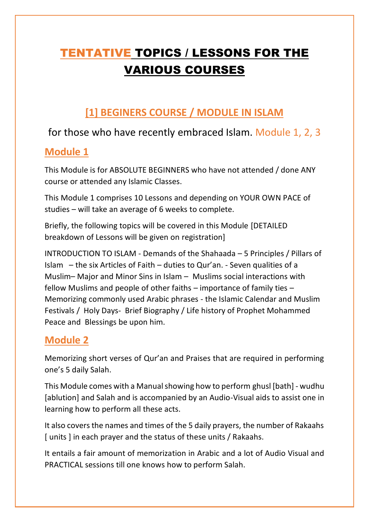## TENTATIVE TOPICS / LESSONS FOR THE VARIOUS COURSES

## **[1] BEGINERS COURSE / MODULE IN ISLAM**

## for those who have recently embraced Islam. Module 1, 2, 3

## **Module 1**

This Module is for ABSOLUTE BEGINNERS who have not attended / done ANY course or attended any Islamic Classes.

This Module 1 comprises 10 Lessons and depending on YOUR OWN PACE of studies – will take an average of 6 weeks to complete.

Briefly, the following topics will be covered in this Module [DETAILED breakdown of Lessons will be given on registration]

INTRODUCTION TO ISLAM - Demands of the Shahaada – 5 Principles / Pillars of Islam – the six Articles of Faith – duties to Qur'an. - Seven qualities of a Muslim– Major and Minor Sins in Islam – Muslims social interactions with fellow Muslims and people of other faiths – importance of family ties – Memorizing commonly used Arabic phrases - the Islamic Calendar and Muslim Festivals / Holy Days- Brief Biography / Life history of Prophet Mohammed Peace and Blessings be upon him.

## **Module 2**

Memorizing short verses of Qur'an and Praises that are required in performing one's 5 daily Salah.

This Module comes with a Manual showing how to perform ghusl [bath] - wudhu [ablution] and Salah and is accompanied by an Audio-Visual aids to assist one in learning how to perform all these acts.

It also covers the names and times of the 5 daily prayers, the number of Rakaahs [ units ] in each prayer and the status of these units / Rakaahs.

It entails a fair amount of memorization in Arabic and a lot of Audio Visual and PRACTICAL sessions till one knows how to perform Salah.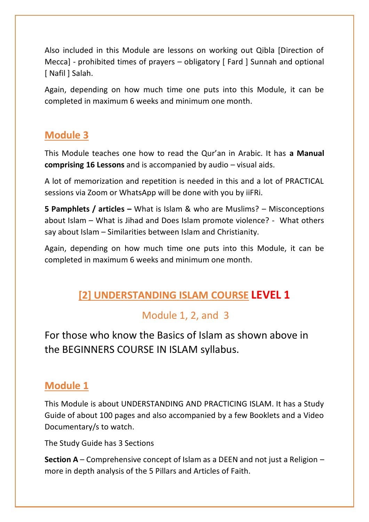Also included in this Module are lessons on working out Qibla [Direction of Mecca] - prohibited times of prayers – obligatory [ Fard ] Sunnah and optional [ Nafil ] Salah.

Again, depending on how much time one puts into this Module, it can be completed in maximum 6 weeks and minimum one month.

## **Module 3**

This Module teaches one how to read the Qur'an in Arabic. It has **a Manual comprising 16 Lessons** and is accompanied by audio – visual aids.

A lot of memorization and repetition is needed in this and a lot of PRACTICAL sessions via Zoom or WhatsApp will be done with you by iiFRi.

**5 Pamphlets / articles –** What is Islam & who are Muslims? – Misconceptions about Islam – What is Jihad and Does Islam promote violence? - What others say about Islam – Similarities between Islam and Christianity.

Again, depending on how much time one puts into this Module, it can be completed in maximum 6 weeks and minimum one month.

## **[2] UNDERSTANDING ISLAM COURSE LEVEL 1**

## Module 1, 2, and 3

For those who know the Basics of Islam as shown above in the BEGINNERS COURSE IN ISLAM syllabus.

### **Module 1**

This Module is about UNDERSTANDING AND PRACTICING ISLAM. It has a Study Guide of about 100 pages and also accompanied by a few Booklets and a Video Documentary/s to watch.

The Study Guide has 3 Sections

**Section A** – Comprehensive concept of Islam as a DEEN and not just a Religion – more in depth analysis of the 5 Pillars and Articles of Faith.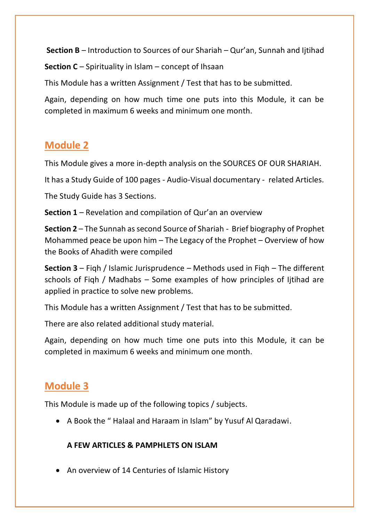**Section B** – Introduction to Sources of our Shariah – Qur'an, Sunnah and Ijtihad

**Section C** – Spirituality in Islam – concept of Ihsaan

This Module has a written Assignment / Test that has to be submitted.

Again, depending on how much time one puts into this Module, it can be completed in maximum 6 weeks and minimum one month.

#### **Module 2**

This Module gives a more in-depth analysis on the SOURCES OF OUR SHARIAH.

It has a Study Guide of 100 pages - Audio-Visual documentary - related Articles.

The Study Guide has 3 Sections.

**Section 1** – Revelation and compilation of Qur'an an overview

**Section 2** – The Sunnah as second Source of Shariah - Brief biography of Prophet Mohammed peace be upon him – The Legacy of the Prophet – Overview of how the Books of Ahadith were compiled

**Section 3** – Fiqh / Islamic Jurisprudence – Methods used in Fiqh – The different schools of Fiqh / Madhabs – Some examples of how principles of Ijtihad are applied in practice to solve new problems.

This Module has a written Assignment / Test that has to be submitted.

There are also related additional study material.

Again, depending on how much time one puts into this Module, it can be completed in maximum 6 weeks and minimum one month.

### **Module 3**

This Module is made up of the following topics / subjects.

• A Book the " Halaal and Haraam in Islam" by Yusuf Al Qaradawi.

#### **A FEW ARTICLES & PAMPHLETS ON ISLAM**

• An overview of 14 Centuries of Islamic History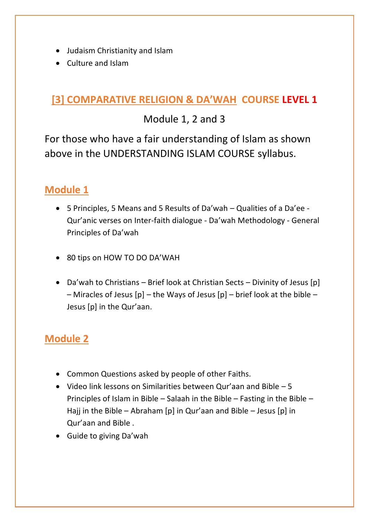- Judaism Christianity and Islam
- Culture and Islam

## **[3] COMPARATIVE RELIGION & DA'WAH COURSE LEVEL 1**

## Module 1, 2 and 3

For those who have a fair understanding of Islam as shown above in the UNDERSTANDING ISLAM COURSE syllabus.

## **Module 1**

- 5 Principles, 5 Means and 5 Results of Da'wah Qualities of a Da'ee Qur'anic verses on Inter-faith dialogue - Da'wah Methodology - General Principles of Da'wah
- 80 tips on HOW TO DO DA'WAH
- Da'wah to Christians Brief look at Christian Sects Divinity of Jesus [p] – Miracles of Jesus  $[p]$  – the Ways of Jesus  $[p]$  – brief look at the bible – Jesus [p] in the Qur'aan.

## **Module 2**

- Common Questions asked by people of other Faiths.
- Video link lessons on Similarities between Qur'aan and Bible 5 Principles of Islam in Bible – Salaah in the Bible – Fasting in the Bible – Hajj in the Bible – Abraham [p] in Qur'aan and Bible – Jesus [p] in Qur'aan and Bible .
- Guide to giving Da'wah